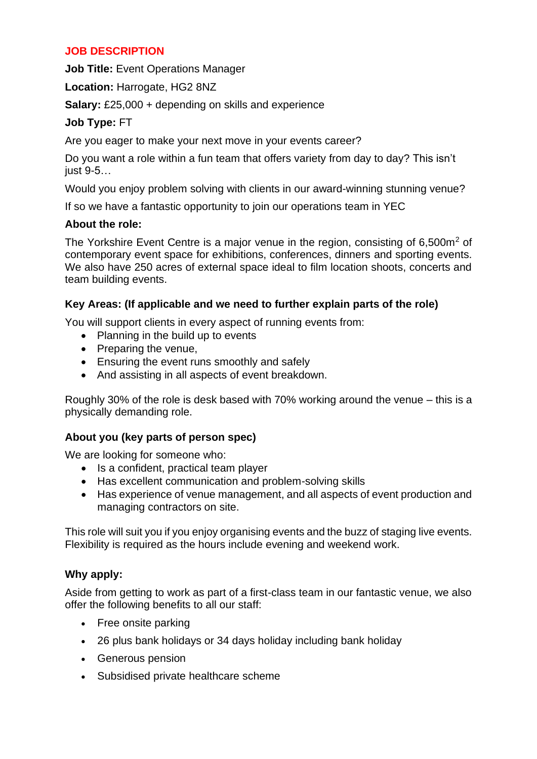## **JOB DESCRIPTION**

**Job Title:** Event Operations Manager

**Location:** Harrogate, HG2 8NZ

**Salary:** £25,000 + depending on skills and experience

# **Job Type:** FT

Are you eager to make your next move in your events career?

Do you want a role within a fun team that offers variety from day to day? This isn't just 9-5…

Would you enjoy problem solving with clients in our award-winning stunning venue?

If so we have a fantastic opportunity to join our operations team in YEC

## **About the role:**

The Yorkshire Event Centre is a major venue in the region, consisting of 6,500 $m<sup>2</sup>$  of contemporary event space for exhibitions, conferences, dinners and sporting events. We also have 250 acres of external space ideal to film location shoots, concerts and team building events.

# **Key Areas: (If applicable and we need to further explain parts of the role)**

You will support clients in every aspect of running events from:

- Planning in the build up to events
- Preparing the venue,
- Ensuring the event runs smoothly and safely
- And assisting in all aspects of event breakdown.

Roughly 30% of the role is desk based with 70% working around the venue – this is a physically demanding role.

# **About you (key parts of person spec)**

We are looking for someone who:

- Is a confident, practical team player
- Has excellent communication and problem-solving skills
- Has experience of venue management, and all aspects of event production and managing contractors on site.

This role will suit you if you enjoy organising events and the buzz of staging live events. Flexibility is required as the hours include evening and weekend work.

# **Why apply:**

Aside from getting to work as part of a first-class team in our fantastic venue, we also offer the following benefits to all our staff:

- Free onsite parking
- 26 plus bank holidays or 34 days holiday including bank holiday
- Generous pension
- Subsidised private healthcare scheme